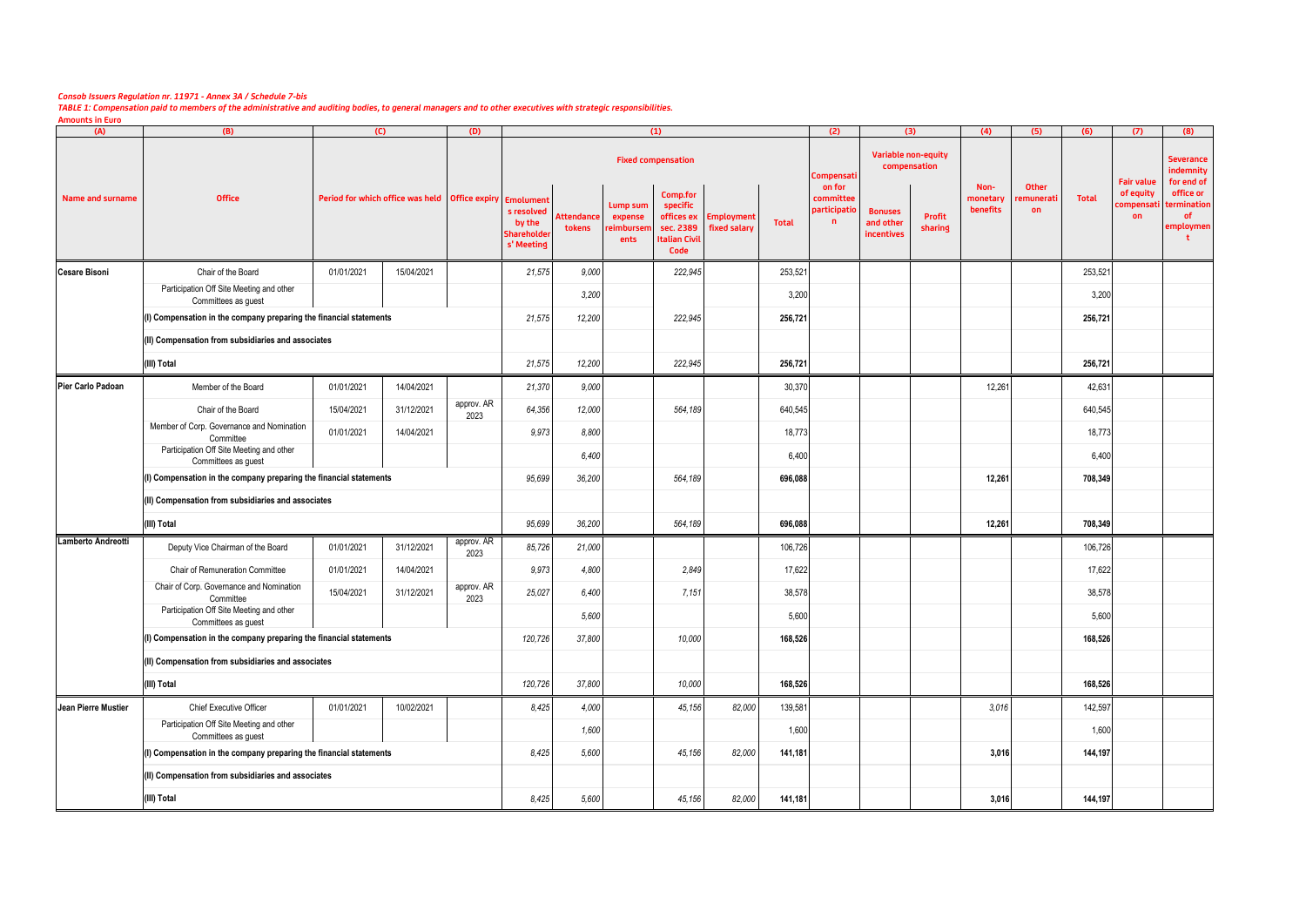## *Consob Issuers Regulation nr. 11971 - Annex 3A / Schedule 7-bis*

*TABLE 1: Compensation paid to members of the administrative and auditing bodies, to general managers and to other executives with strategic responsibilities.*

**Amounts in Euro**

| (A)                                                                | (B)                                                                | (C)        |                                                              | (D)                |                                                  |                             |                                           | (1)                                                               |                                       |              | (2)                                       | (3)                                       |                            | (4)                          | (5)                      | (6)          | (7)                          | (8)                                         |
|--------------------------------------------------------------------|--------------------------------------------------------------------|------------|--------------------------------------------------------------|--------------------|--------------------------------------------------|-----------------------------|-------------------------------------------|-------------------------------------------------------------------|---------------------------------------|--------------|-------------------------------------------|-------------------------------------------|----------------------------|------------------------------|--------------------------|--------------|------------------------------|---------------------------------------------|
|                                                                    |                                                                    |            |                                                              |                    |                                                  |                             |                                           | <b>Fixed compensation</b>                                         |                                       |              | Compensati                                | compensation                              | <b>Variable non-equity</b> |                              |                          |              | <b>Fair value</b>            | <b>Severance</b><br>indemnity<br>for end of |
| Name and surname                                                   | <b>Office</b>                                                      |            | Period for which office was held   Office expiry   Emolument |                    | s resolved<br>by the<br>Shareholde<br>s' Meeting | <b>Attendance</b><br>tokens | Lump sum<br>expense<br>reimbursen<br>ents | Comp.for<br>specific<br>sec. 2389<br><b>Italian Civil</b><br>Code | offices ex Employment<br>fixed salary | <b>Total</b> | on for<br>committee<br>participatio<br>n. | <b>Bonuses</b><br>and other<br>incentives | <b>Profit</b><br>sharing   | Non-<br>monetary<br>benefits | Other<br>emunerati<br>on | <b>Total</b> | of equity<br>compensat<br>on | office or<br>termination<br>of<br>employmen |
| <b>Cesare Bisoni</b>                                               | Chair of the Board                                                 | 01/01/2021 | 15/04/2021                                                   |                    | 21,575                                           | 9,000                       |                                           | 222,945                                                           |                                       | 253,521      |                                           |                                           |                            |                              |                          | 253,521      |                              |                                             |
|                                                                    | Participation Off Site Meeting and other<br>Committees as guest    |            |                                                              |                    |                                                  | 3,200                       |                                           |                                                                   |                                       | 3,200        |                                           |                                           |                            |                              |                          | 3,200        |                              |                                             |
|                                                                    | (I) Compensation in the company preparing the financial statements |            |                                                              |                    |                                                  | 21,575<br>12,200            |                                           | 222,945                                                           |                                       | 256,721      |                                           |                                           |                            |                              |                          | 256,721      |                              |                                             |
|                                                                    | (II) Compensation from subsidiaries and associates                 |            |                                                              |                    |                                                  |                             |                                           |                                                                   |                                       |              |                                           |                                           |                            |                              |                          |              |                              |                                             |
|                                                                    | (III) Total                                                        | 21,575     | 12,200                                                       |                    | 222,945                                          |                             | 256,721                                   |                                                                   |                                       |              |                                           |                                           | 256,721                    |                              |                          |              |                              |                                             |
| Pier Carlo Padoan                                                  | Member of the Board                                                | 01/01/2021 | 14/04/2021                                                   |                    | 21,370                                           | 9,000                       |                                           |                                                                   |                                       | 30,370       |                                           |                                           |                            | 12,261                       |                          | 42,631       |                              |                                             |
|                                                                    | Chair of the Board                                                 | 15/04/2021 | 31/12/2021                                                   | approv. AR<br>2023 | 64,356                                           | 12,000                      |                                           | 564,189                                                           |                                       | 640,545      |                                           |                                           |                            |                              |                          | 640,545      |                              |                                             |
|                                                                    | Member of Corp. Governance and Nomination<br>Committee             | 01/01/2021 | 14/04/2021                                                   |                    | 9,973                                            | 8,800                       |                                           |                                                                   |                                       | 18,773       |                                           |                                           |                            |                              |                          | 18,773       |                              |                                             |
|                                                                    | Participation Off Site Meeting and other<br>Committees as guest    |            |                                                              |                    |                                                  | 6,400                       |                                           |                                                                   |                                       | 6,400        |                                           |                                           |                            |                              |                          | 6,400        |                              |                                             |
|                                                                    | (I) Compensation in the company preparing the financial statements |            |                                                              |                    |                                                  | 95,699<br>36,200            |                                           | 564,189                                                           |                                       | 696,088      |                                           |                                           |                            | 12,261                       |                          | 708,349      |                              |                                             |
|                                                                    | (II) Compensation from subsidiaries and associates                 |            |                                                              |                    |                                                  |                             |                                           |                                                                   |                                       |              |                                           |                                           |                            |                              |                          |              |                              |                                             |
|                                                                    | (III) Total                                                        |            |                                                              |                    | 95,699                                           | 36,200                      |                                           | 564,189                                                           |                                       | 696,088      |                                           |                                           |                            | 12,261                       |                          | 708,349      |                              |                                             |
| Lamberto Andreotti                                                 | Deputy Vice Chairman of the Board                                  | 01/01/2021 | 31/12/2021                                                   | approv. AR<br>2023 | 85,726                                           | 21,000                      |                                           |                                                                   |                                       | 106,726      |                                           |                                           |                            |                              |                          | 106,726      |                              |                                             |
|                                                                    | Chair of Remuneration Committee                                    | 01/01/2021 | 14/04/2021                                                   |                    | 9,973                                            | 4,800                       |                                           | 2,849                                                             |                                       | 17,622       |                                           |                                           |                            |                              |                          | 17,622       |                              |                                             |
|                                                                    | Chair of Corp. Governance and Nomination<br>Committee              | 15/04/2021 | 31/12/2021                                                   | approv. AR<br>2023 | 25,027                                           | 6,400                       |                                           | 7,151                                                             |                                       | 38,578       |                                           |                                           |                            |                              |                          | 38,578       |                              |                                             |
|                                                                    | Participation Off Site Meeting and other<br>Committees as guest    |            |                                                              |                    |                                                  | 5,600                       |                                           |                                                                   |                                       | 5,600        |                                           |                                           |                            |                              |                          | 5,600        |                              |                                             |
|                                                                    | (I) Compensation in the company preparing the financial statements |            |                                                              |                    |                                                  | 120,726<br>37,800           |                                           | 10,000                                                            |                                       | 168,526      |                                           |                                           |                            |                              |                          | 168,526      |                              |                                             |
|                                                                    | (II) Compensation from subsidiaries and associates                 |            |                                                              |                    |                                                  |                             |                                           |                                                                   |                                       |              |                                           |                                           |                            |                              |                          |              |                              |                                             |
| (III) Total                                                        |                                                                    |            |                                                              |                    |                                                  | 37,800<br>120,726           |                                           | 10,000                                                            |                                       | 168,526      |                                           |                                           |                            |                              |                          | 168,526      |                              |                                             |
| Jean Pierre Mustier                                                | Chief Executive Officer                                            | 01/01/2021 | 10/02/2021                                                   |                    | 8,425                                            | 4,000                       |                                           | 45,156                                                            | 82,000                                | 139,581      |                                           |                                           |                            | 3,016                        |                          | 142,597      |                              |                                             |
|                                                                    | Participation Off Site Meeting and other<br>Committees as guest    |            |                                                              |                    |                                                  | 1,600                       |                                           |                                                                   |                                       | 1,600        |                                           |                                           |                            |                              |                          | 1,600        |                              |                                             |
| (I) Compensation in the company preparing the financial statements |                                                                    |            |                                                              |                    | 8,425                                            | 5,600                       |                                           | 45,156                                                            | 82,000                                | 141,181      |                                           |                                           |                            | 3,016                        |                          | 144,197      |                              |                                             |
|                                                                    | (II) Compensation from subsidiaries and associates                 |            |                                                              |                    |                                                  |                             |                                           |                                                                   |                                       |              |                                           |                                           |                            |                              |                          |              |                              |                                             |
|                                                                    | (III) Total                                                        | 8,425      | 5,600                                                        |                    | 45,156                                           | 82,000                      | 141,181                                   |                                                                   |                                       |              | 3,016                                     |                                           | 144,197                    |                              |                          |              |                              |                                             |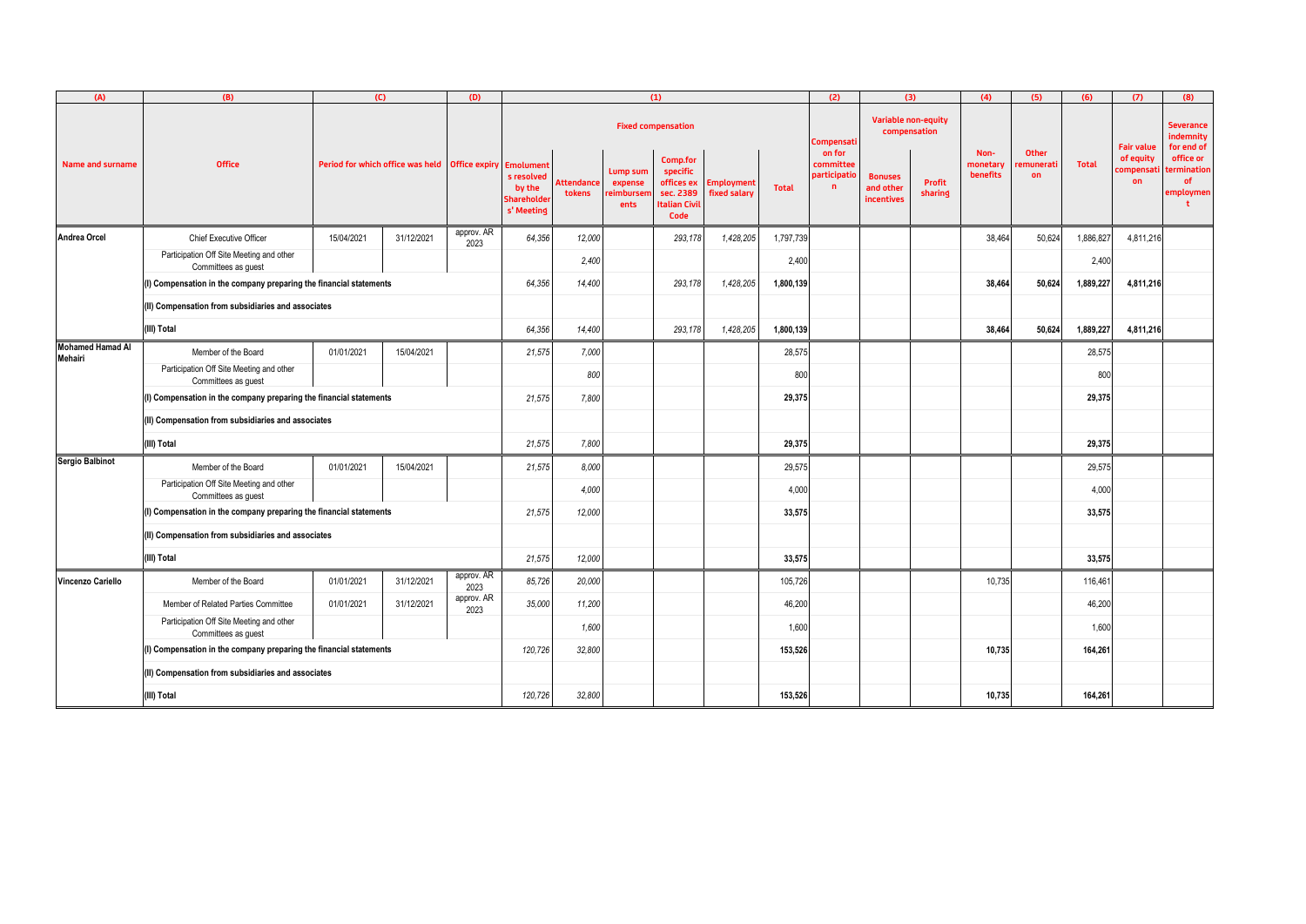| (A)                                | (B)                                                                | (C)                                                          |            | (D)                | (1)                                                     |                             |                                           |                                                                                 |                                   |              | (2)                                      | (3)                                       |                                            | (4)                                 | (5)                      | (6)          | (7)                          | (8)                                                |
|------------------------------------|--------------------------------------------------------------------|--------------------------------------------------------------|------------|--------------------|---------------------------------------------------------|-----------------------------|-------------------------------------------|---------------------------------------------------------------------------------|-----------------------------------|--------------|------------------------------------------|-------------------------------------------|--------------------------------------------|-------------------------------------|--------------------------|--------------|------------------------------|----------------------------------------------------|
|                                    |                                                                    |                                                              |            |                    |                                                         |                             |                                           | <b>Fixed compensation</b>                                                       |                                   |              | ompensati:                               |                                           | <b>Variable non-equity</b><br>compensation |                                     |                          |              | <b>Fair value</b>            | <b>Severance</b><br>indemnity<br>for end of        |
| <b>Name and surname</b>            | <b>Office</b>                                                      | Period for which office was held   Office expiry   Emolument |            |                    | s resolved<br>by the<br><b>Shareholde</b><br>s' Meeting | <b>Attendance</b><br>tokens | Lump sum<br>expense<br>reimburser<br>ents | Comp.for<br>specific<br>offices ex<br>sec. 2389<br><b>Italian Civil</b><br>Code | <b>Employment</b><br>fixed salary | <b>Total</b> | on for<br>committee<br>participatio<br>n | <b>Bonuses</b><br>and other<br>incentives | <b>Profit</b><br>sharing                   | Non-<br>monetary<br><b>benefits</b> | Other<br>:munerati<br>on | <b>Total</b> | of equity<br>compensat<br>on | office or<br>termination<br><b>of</b><br>employmen |
| <b>Andrea Orcel</b>                | <b>Chief Executive Officer</b>                                     | 15/04/2021                                                   | 31/12/2021 | approv. AR<br>2023 | 64,356                                                  | 12,000                      |                                           | 293,178                                                                         | 1,428,205                         | 1,797,739    |                                          |                                           |                                            | 38,464                              | 50,624                   | 1,886,827    | 4,811,216                    |                                                    |
|                                    | Participation Off Site Meeting and other<br>Committees as guest    |                                                              |            |                    |                                                         | 2,400                       |                                           |                                                                                 |                                   | 2,400        |                                          |                                           |                                            |                                     |                          | 2,400        |                              |                                                    |
|                                    | (I) Compensation in the company preparing the financial statements |                                                              |            |                    | 64,356                                                  | 14,400                      |                                           | 293,178                                                                         | 1,428,205                         | 1,800,139    |                                          |                                           |                                            | 38,464                              | 50,624                   | 1,889,227    | 4,811,216                    |                                                    |
|                                    | (II) Compensation from subsidiaries and associates                 |                                                              |            |                    |                                                         |                             |                                           |                                                                                 |                                   |              |                                          |                                           |                                            |                                     |                          |              |                              |                                                    |
|                                    | (III) Total                                                        | 64,356                                                       | 14,400     |                    | 293,178                                                 | 1,428,205                   | 1,800,139                                 |                                                                                 |                                   |              | 38,464                                   | 50,624                                    | 1,889,227                                  | 4,811,216                           |                          |              |                              |                                                    |
| <b>Mohamed Hamad Al</b><br>Mehairi | Member of the Board                                                | 01/01/2021                                                   | 15/04/2021 |                    | 21,575                                                  | 7,000                       |                                           |                                                                                 |                                   | 28,575       |                                          |                                           |                                            |                                     |                          | 28,575       |                              |                                                    |
|                                    | Participation Off Site Meeting and other<br>Committees as guest    |                                                              |            |                    |                                                         | 800                         |                                           |                                                                                 |                                   | 800          |                                          |                                           |                                            |                                     |                          | 800          |                              |                                                    |
|                                    | (I) Compensation in the company preparing the financial statements |                                                              |            |                    |                                                         | 21,575<br>7,800             |                                           |                                                                                 |                                   | 29,375       |                                          |                                           |                                            |                                     |                          | 29,375       |                              |                                                    |
|                                    | (II) Compensation from subsidiaries and associates                 |                                                              |            |                    |                                                         |                             |                                           |                                                                                 |                                   |              |                                          |                                           |                                            |                                     |                          |              |                              |                                                    |
|                                    | (III) Total                                                        |                                                              |            |                    |                                                         | 21,575<br>7,800             |                                           |                                                                                 |                                   | 29,375       |                                          |                                           |                                            |                                     |                          | 29,375       |                              |                                                    |
| <b>Sergio Balbinot</b>             | Member of the Board                                                | 01/01/2021                                                   | 15/04/2021 |                    | 21,575                                                  | 8,000                       |                                           |                                                                                 |                                   | 29,575       |                                          |                                           |                                            |                                     |                          | 29,575       |                              |                                                    |
|                                    | Participation Off Site Meeting and other<br>Committees as guest    |                                                              |            |                    |                                                         | 4,000                       |                                           |                                                                                 |                                   | 4,000        |                                          |                                           |                                            |                                     |                          | 4,000        |                              |                                                    |
|                                    | (I) Compensation in the company preparing the financial statements |                                                              |            |                    |                                                         | 21,575<br>12,000            |                                           |                                                                                 |                                   | 33,575       |                                          |                                           |                                            |                                     |                          | 33,575       |                              |                                                    |
|                                    | (II) Compensation from subsidiaries and associates                 |                                                              |            |                    |                                                         |                             |                                           |                                                                                 |                                   |              |                                          |                                           |                                            |                                     |                          |              |                              |                                                    |
|                                    | (III) Total                                                        |                                                              |            |                    |                                                         |                             | 12,000                                    |                                                                                 |                                   | 33,575       |                                          |                                           |                                            |                                     |                          | 33,575       |                              |                                                    |
| Vincenzo Cariello                  | Member of the Board                                                | 01/01/2021                                                   | 31/12/2021 | approv. AR<br>2023 | 85,726                                                  | 20,000                      |                                           |                                                                                 |                                   | 105,726      |                                          |                                           |                                            | 10,735                              |                          | 116,461      |                              |                                                    |
|                                    | Member of Related Parties Committee                                | 01/01/2021                                                   | 31/12/2021 | approv. AR<br>2023 | 35,000                                                  | 11,200                      |                                           |                                                                                 |                                   | 46,200       |                                          |                                           |                                            |                                     |                          | 46,200       |                              |                                                    |
|                                    | Participation Off Site Meeting and other<br>Committees as guest    |                                                              |            |                    |                                                         | 1,600                       |                                           |                                                                                 |                                   | 1,600        |                                          |                                           |                                            |                                     |                          | 1,600        |                              |                                                    |
|                                    | (I) Compensation in the company preparing the financial statements |                                                              |            |                    |                                                         | 120,726<br>32,800           |                                           |                                                                                 |                                   | 153,526      |                                          |                                           |                                            | 10,735                              |                          | 164,261      |                              |                                                    |
|                                    | (II) Compensation from subsidiaries and associates                 |                                                              |            |                    |                                                         |                             |                                           |                                                                                 |                                   |              |                                          |                                           |                                            |                                     |                          |              |                              |                                                    |
|                                    | (III) Total                                                        | 120,726                                                      | 32,800     |                    |                                                         |                             | 153,526                                   |                                                                                 |                                   |              | 10,735                                   |                                           | 164,261                                    |                                     |                          |              |                              |                                                    |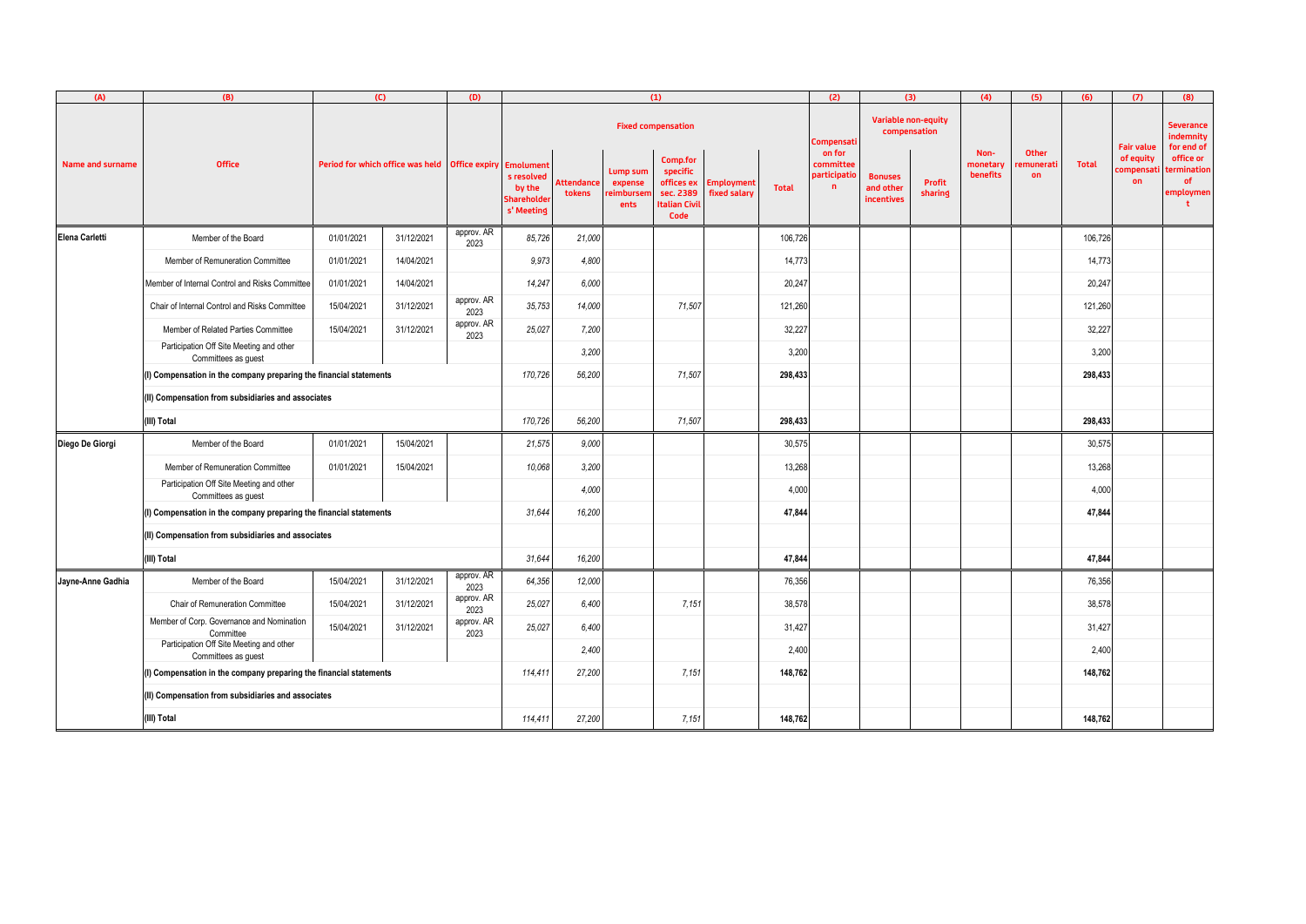| (A)                     | (B)                                                                |                                                              | (C)        | (D)                | (1)                                               |                             |                                           |                                                                                 |                                   |              | (2)                                                       | (3)                                       |                          | (4)                          | (5)                                    | (6)          | (7)                          | (8)                                         |
|-------------------------|--------------------------------------------------------------------|--------------------------------------------------------------|------------|--------------------|---------------------------------------------------|-----------------------------|-------------------------------------------|---------------------------------------------------------------------------------|-----------------------------------|--------------|-----------------------------------------------------------|-------------------------------------------|--------------------------|------------------------------|----------------------------------------|--------------|------------------------------|---------------------------------------------|
|                         |                                                                    |                                                              |            |                    |                                                   |                             |                                           | <b>Fixed compensation</b>                                                       |                                   |              | <b>Variable non-equity</b><br>compensation<br>.compensati |                                           |                          |                              |                                        |              | <b>Fair value</b>            | <b>Severance</b><br>indemnity<br>for end of |
| <b>Name and surname</b> | <b>Office</b>                                                      | Period for which office was held   Office expiry   Emolument |            |                    | s resolved<br>by the<br>Shareholder<br>s' Meeting | <b>Attendance</b><br>tokens | Lump sum<br>expense<br>reimbursen<br>ents | Comp.for<br>specific<br>offices ex<br>sec. 2389<br><b>Italian Civil</b><br>Code | <b>Employment</b><br>fixed salary | <b>Total</b> | on for<br>committee<br>participatio<br>$\mathbf n$        | <b>Bonuses</b><br>and other<br>incentives | <b>Profit</b><br>sharing | Non-<br>monetary<br>benefits | <b>Other</b><br>emunerati<br><b>on</b> | <b>Total</b> | of equity<br>compensat<br>on | office or<br>termination<br>of<br>employmen |
| Elena Carletti          | Member of the Board                                                | 01/01/2021                                                   | 31/12/2021 | approv. AR<br>2023 | 85,726                                            | 21,000                      |                                           |                                                                                 |                                   | 106,726      |                                                           |                                           |                          |                              |                                        | 106,726      |                              |                                             |
|                         | Member of Remuneration Committee                                   | 01/01/2021                                                   | 14/04/2021 |                    | 9,973                                             | 4,800                       |                                           |                                                                                 |                                   | 14,773       |                                                           |                                           |                          |                              |                                        | 14,773       |                              |                                             |
|                         | Member of Internal Control and Risks Committee                     | 01/01/2021                                                   | 14/04/2021 |                    | 14,247                                            | 6,000                       |                                           |                                                                                 |                                   | 20,247       |                                                           |                                           |                          |                              |                                        | 20,247       |                              |                                             |
|                         | Chair of Internal Control and Risks Committee                      | 15/04/2021                                                   | 31/12/2021 | approv. AR<br>2023 | 35,753                                            | 14,000                      |                                           | 71,507                                                                          |                                   | 121,260      |                                                           |                                           |                          |                              |                                        | 121,260      |                              |                                             |
|                         | Member of Related Parties Committee                                | 15/04/2021                                                   | 31/12/2021 | approv. AR<br>2023 | 25,027                                            | 7,200                       |                                           |                                                                                 |                                   | 32,227       |                                                           |                                           |                          |                              |                                        | 32,227       |                              |                                             |
|                         | Participation Off Site Meeting and other<br>Committees as guest    |                                                              |            |                    |                                                   | 3,200                       |                                           |                                                                                 |                                   | 3,200        |                                                           |                                           |                          |                              |                                        | 3,200        |                              |                                             |
|                         | (I) Compensation in the company preparing the financial statements |                                                              |            |                    |                                                   | 170,726<br>56,200           |                                           | 71,507                                                                          |                                   | 298,433      |                                                           |                                           |                          |                              |                                        | 298,433      |                              |                                             |
|                         | (II) Compensation from subsidiaries and associates                 |                                                              |            |                    |                                                   |                             |                                           |                                                                                 |                                   |              |                                                           |                                           |                          |                              |                                        |              |                              |                                             |
| (III) Total             |                                                                    |                                                              |            |                    | 170,726                                           | 56,200                      |                                           | 71,507                                                                          |                                   | 298,433      |                                                           |                                           |                          |                              |                                        | 298,433      |                              |                                             |
| Diego De Giorgi         | Member of the Board                                                | 01/01/2021                                                   | 15/04/2021 |                    | 21,575                                            | 9,000                       |                                           |                                                                                 |                                   | 30,575       |                                                           |                                           |                          |                              |                                        | 30,575       |                              |                                             |
|                         | Member of Remuneration Committee                                   | 01/01/2021                                                   | 15/04/2021 |                    | 10,068                                            | 3,200                       |                                           |                                                                                 |                                   | 13,268       |                                                           |                                           |                          |                              |                                        | 13,268       |                              |                                             |
|                         | Participation Off Site Meeting and other<br>Committees as guest    |                                                              |            |                    |                                                   | 4,000                       |                                           |                                                                                 |                                   | 4,000        |                                                           |                                           |                          |                              |                                        | 4,000        |                              |                                             |
|                         | (I) Compensation in the company preparing the financial statements |                                                              |            |                    |                                                   | 16,200                      |                                           |                                                                                 |                                   | 47,844       |                                                           |                                           |                          |                              |                                        | 47,844       |                              |                                             |
|                         | (II) Compensation from subsidiaries and associates                 |                                                              |            |                    |                                                   |                             |                                           |                                                                                 |                                   |              |                                                           |                                           |                          |                              |                                        |              |                              |                                             |
|                         | (III) Total                                                        |                                                              |            |                    |                                                   | 16,200                      |                                           |                                                                                 |                                   | 47,844       |                                                           |                                           |                          |                              |                                        | 47,844       |                              |                                             |
| Jayne-Anne Gadhia       | Member of the Board                                                | 15/04/2021                                                   | 31/12/2021 | approv. AR<br>2023 | 64,356                                            | 12,000                      |                                           |                                                                                 |                                   | 76,356       |                                                           |                                           |                          |                              |                                        | 76,356       |                              |                                             |
|                         | <b>Chair of Remuneration Committee</b>                             | 15/04/2021                                                   | 31/12/2021 | approv. AR<br>2023 | 25,027                                            | 6,400                       |                                           | 7,151                                                                           |                                   | 38,578       |                                                           |                                           |                          |                              |                                        | 38,578       |                              |                                             |
|                         | Member of Corp. Governance and Nomination<br>Committee             | 15/04/2021                                                   | 31/12/2021 | approv. AR<br>2023 | 25,027                                            | 6,400                       |                                           |                                                                                 |                                   | 31,427       |                                                           |                                           |                          |                              |                                        | 31,427       |                              |                                             |
|                         | Participation Off Site Meeting and other<br>Committees as guest    |                                                              |            |                    |                                                   | 2,400                       |                                           |                                                                                 |                                   | 2,400        |                                                           |                                           |                          |                              |                                        | 2,400        |                              |                                             |
|                         | (I) Compensation in the company preparing the financial statements |                                                              |            |                    |                                                   | 114,411<br>27,200           |                                           | 7,151                                                                           |                                   | 148,762      |                                                           |                                           |                          |                              |                                        | 148,762      |                              |                                             |
|                         | (II) Compensation from subsidiaries and associates                 |                                                              |            |                    |                                                   |                             |                                           |                                                                                 |                                   |              |                                                           |                                           |                          |                              |                                        |              |                              |                                             |
|                         | (III) Total                                                        | 114,411                                                      | 27,200     |                    | 7,151                                             |                             | 148,762                                   |                                                                                 |                                   |              |                                                           |                                           | 148,762                  |                              |                                        |              |                              |                                             |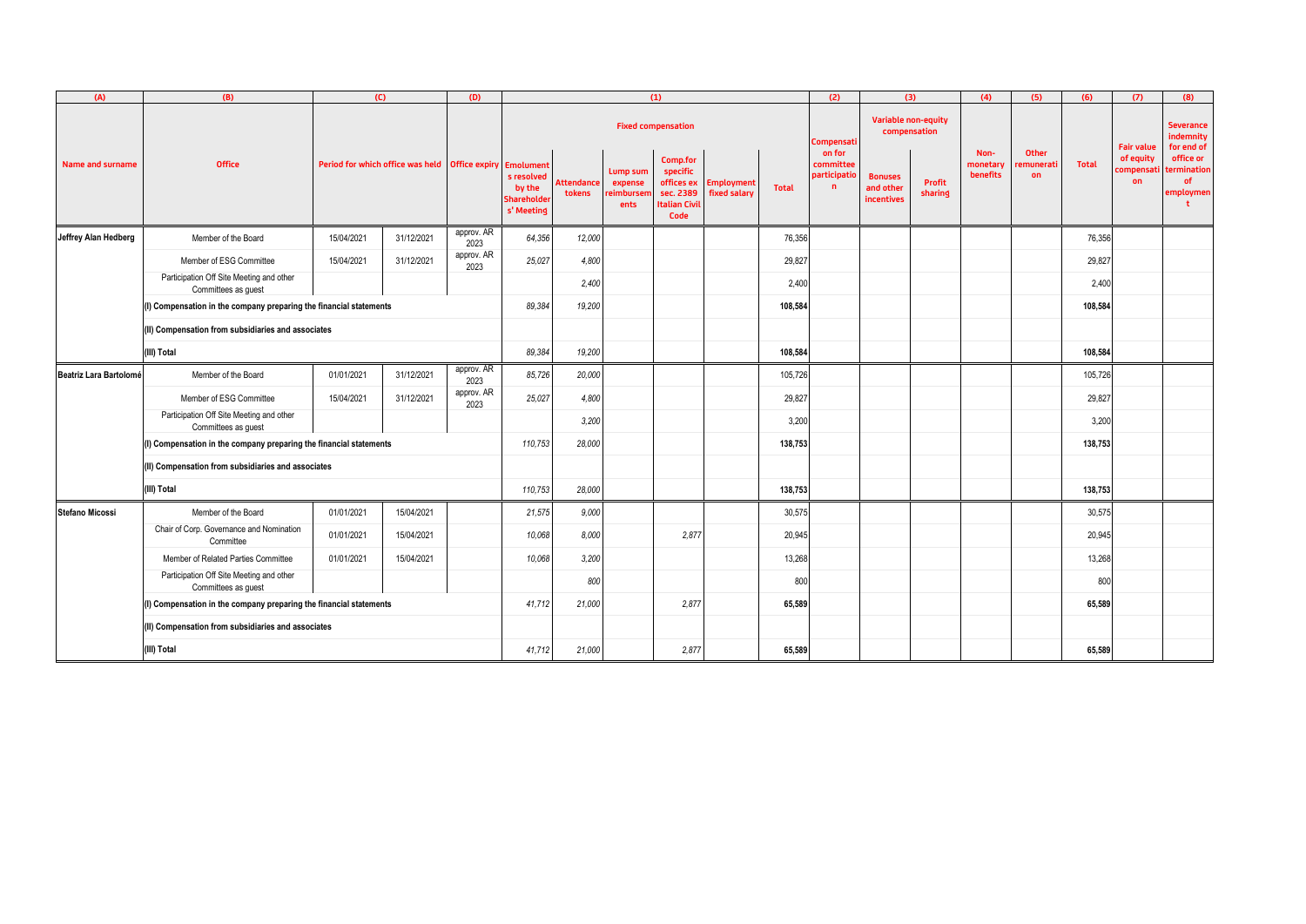| (A)                     | (B)                                                                   |                                                  | (C)        | (D)                | (1)                                                                  |                             |                                          |                                                                         |                                   | (2)          | (3)                                                |                                           | (4)                                 | (5)                                 | (6)                             | (7)          | (8)                          |                                                          |
|-------------------------|-----------------------------------------------------------------------|--------------------------------------------------|------------|--------------------|----------------------------------------------------------------------|-----------------------------|------------------------------------------|-------------------------------------------------------------------------|-----------------------------------|--------------|----------------------------------------------------|-------------------------------------------|-------------------------------------|-------------------------------------|---------------------------------|--------------|------------------------------|----------------------------------------------------------|
|                         |                                                                       |                                                  |            |                    |                                                                      |                             |                                          | <b>Fixed compensation</b>                                               |                                   |              | .compensati                                        |                                           | Variable non-equity<br>compensation |                                     |                                 |              | <b>Fair value</b>            | <b>Severance</b><br>indemnity<br>for end of              |
| <b>Name and surname</b> | <b>Office</b>                                                         | Period for which office was held   Office expiry |            |                    | Emolument<br>s resolved<br>by the<br><b>Shareholde</b><br>s' Meeting | <b>Attendance</b><br>tokens | Lump sum<br>expense<br>eimbursei<br>ents | Comp.for<br>specific<br>offices ex<br>sec. 2389<br>talian Civil<br>Code | <b>Employment</b><br>fixed salary | <b>Total</b> | on for<br>committee<br>participatio<br>$\mathbf n$ | <b>Bonuses</b><br>and other<br>incentives | Profit<br>sharing                   | Non-<br>monetary<br><b>benefits</b> | <b>Other</b><br>emunerati<br>on | <b>Total</b> | of equity<br>compensat<br>on | office or<br>termination<br><b>of</b><br>employmen<br>t. |
| Jeffrey Alan Hedberg    | approv. AR<br>31/12/2021<br>Member of the Board<br>15/04/2021<br>2023 |                                                  |            |                    | 64,356                                                               | 12,000                      |                                          |                                                                         |                                   | 76,356       |                                                    |                                           |                                     |                                     |                                 | 76,356       |                              |                                                          |
|                         | Member of ESG Committee                                               | 15/04/2021                                       | 31/12/2021 | approv. AR<br>2023 | 25,027                                                               | 4,800                       |                                          |                                                                         |                                   | 29,827       |                                                    |                                           |                                     |                                     |                                 | 29,827       |                              |                                                          |
|                         | Participation Off Site Meeting and other<br>Committees as guest       |                                                  |            |                    |                                                                      | 2,400                       |                                          |                                                                         |                                   | 2,400        |                                                    |                                           |                                     |                                     |                                 | 2,400        |                              |                                                          |
|                         | (I) Compensation in the company preparing the financial statements    |                                                  |            |                    | 89,384                                                               | 19,200                      |                                          |                                                                         |                                   | 108,584      |                                                    |                                           |                                     |                                     |                                 | 108,584      |                              |                                                          |
|                         | (II) Compensation from subsidiaries and associates                    |                                                  |            |                    |                                                                      |                             |                                          |                                                                         |                                   |              |                                                    |                                           |                                     |                                     |                                 |              |                              |                                                          |
|                         | (III) Total                                                           |                                                  |            |                    |                                                                      | 19,200                      |                                          |                                                                         |                                   | 108,584      |                                                    |                                           |                                     |                                     |                                 | 108,584      |                              |                                                          |
| Beatriz Lara Bartolomé  | Member of the Board                                                   | 01/01/2021                                       | 31/12/2021 | approv. AR<br>2023 | 85,726                                                               | 20,000                      |                                          |                                                                         |                                   | 105,726      |                                                    |                                           |                                     |                                     |                                 | 105,726      |                              |                                                          |
|                         | Member of ESG Committee                                               | 15/04/2021                                       | 31/12/2021 | approv. AR<br>2023 | 25,027                                                               | 4,800                       |                                          |                                                                         |                                   | 29,827       |                                                    |                                           |                                     |                                     |                                 | 29,827       |                              |                                                          |
|                         | Participation Off Site Meeting and other<br>Committees as guest       |                                                  |            |                    |                                                                      | 3,200                       |                                          |                                                                         |                                   | 3,200        |                                                    |                                           |                                     |                                     |                                 | 3,200        |                              |                                                          |
|                         | (I) Compensation in the company preparing the financial statements    |                                                  |            |                    |                                                                      | 28,000                      |                                          |                                                                         |                                   | 138,753      |                                                    |                                           |                                     |                                     |                                 | 138,753      |                              |                                                          |
|                         | (II) Compensation from subsidiaries and associates                    |                                                  |            |                    |                                                                      |                             |                                          |                                                                         |                                   |              |                                                    |                                           |                                     |                                     |                                 |              |                              |                                                          |
|                         | (III) Total                                                           |                                                  |            |                    | 110,753                                                              | 28,000                      |                                          |                                                                         |                                   | 138,753      |                                                    |                                           |                                     |                                     |                                 | 138,753      |                              |                                                          |
| Stefano Micossi         | Member of the Board                                                   | 01/01/2021                                       | 15/04/2021 |                    | 21,575                                                               | 9,000                       |                                          |                                                                         |                                   | 30,575       |                                                    |                                           |                                     |                                     |                                 | 30,575       |                              |                                                          |
|                         | Chair of Corp. Governance and Nomination<br>Committee                 | 01/01/2021                                       | 15/04/2021 |                    | 10,068                                                               | 8,000                       |                                          | 2,877                                                                   |                                   | 20,945       |                                                    |                                           |                                     |                                     |                                 | 20,945       |                              |                                                          |
|                         | Member of Related Parties Committee                                   | 01/01/2021                                       | 15/04/2021 |                    | 10,068                                                               | 3,200                       |                                          |                                                                         |                                   | 13,268       |                                                    |                                           |                                     |                                     |                                 | 13,268       |                              |                                                          |
|                         | Participation Off Site Meeting and other<br>Committees as guest       |                                                  |            |                    |                                                                      | 800                         |                                          |                                                                         |                                   | 800          |                                                    |                                           |                                     |                                     |                                 | 800          |                              |                                                          |
|                         | (I) Compensation in the company preparing the financial statements    |                                                  |            |                    |                                                                      | 21,000                      |                                          | 2,877                                                                   |                                   | 65,589       |                                                    |                                           |                                     |                                     |                                 | 65,589       |                              |                                                          |
|                         | (II) Compensation from subsidiaries and associates                    |                                                  |            |                    |                                                                      |                             |                                          |                                                                         |                                   |              |                                                    |                                           |                                     |                                     |                                 |              |                              |                                                          |
|                         | (III) Total                                                           | 41,712                                           | 21,000     |                    | 2,877                                                                |                             | 65,589                                   |                                                                         |                                   |              |                                                    |                                           | 65,589                              |                                     |                                 |              |                              |                                                          |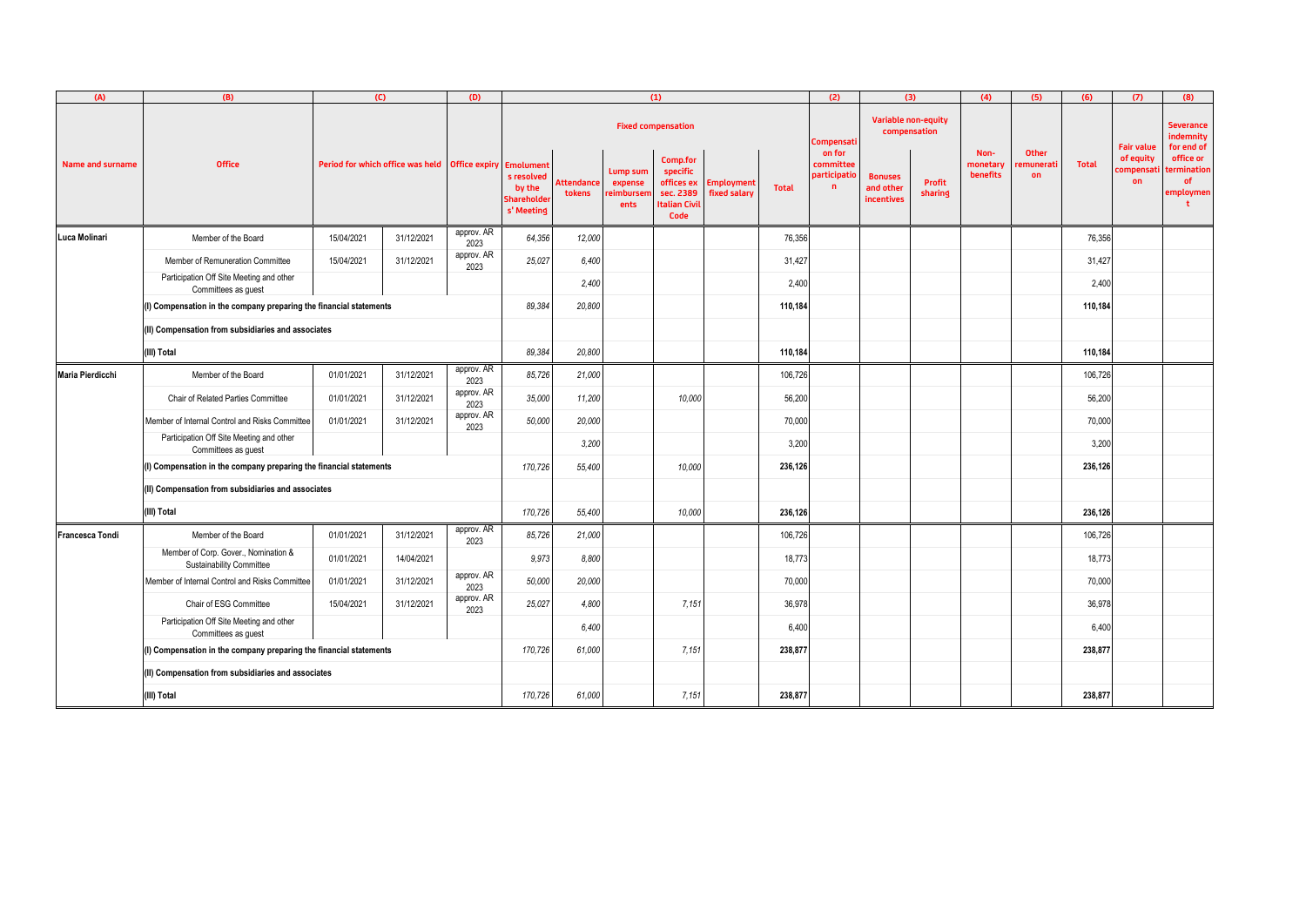| (A)                                                | (B)                                                                | (C)                                                          |            | (D)                | (1)                                               |                             |                                           |                                                                                 |                                   |              | (2)<br>(3)                               |                                           | (4)                      | (5)                          | (6)                             | (7)          | (8)                          |                                             |
|----------------------------------------------------|--------------------------------------------------------------------|--------------------------------------------------------------|------------|--------------------|---------------------------------------------------|-----------------------------|-------------------------------------------|---------------------------------------------------------------------------------|-----------------------------------|--------------|------------------------------------------|-------------------------------------------|--------------------------|------------------------------|---------------------------------|--------------|------------------------------|---------------------------------------------|
|                                                    |                                                                    |                                                              |            |                    |                                                   |                             |                                           | <b>Fixed compensation</b>                                                       |                                   |              | Compensati                               | Variable non-equity<br>compensation       |                          |                              |                                 |              | <b>Fair value</b>            | Severance<br>indemnity<br>for end of        |
| Name and surname                                   | <b>Office</b>                                                      | Period for which office was held   Office expiry   Emolument |            |                    | s resolved<br>by the<br>Shareholder<br>s' Meeting | <b>Attendance</b><br>tokens | Lump sum<br>expense<br>reimbursen<br>ents | Comp.for<br>specific<br>offices ex<br>sec. 2389<br><b>Italian Civil</b><br>Code | <b>Employment</b><br>fixed salary | <b>Total</b> | on for<br>committee<br>participatio<br>n | <b>Bonuses</b><br>and other<br>incentives | <b>Profit</b><br>sharing | Non-<br>monetary<br>benefits | Other<br>emunerati<br><b>on</b> | <b>Total</b> | of equity<br>compensat<br>on | office or<br>termination<br>of<br>employmen |
| Luca Molinari                                      | Member of the Board                                                | 15/04/2021                                                   | 31/12/2021 | approv. AR<br>2023 | 64,356                                            | 12,000                      |                                           |                                                                                 |                                   | 76,356       |                                          |                                           |                          |                              |                                 | 76,356       |                              |                                             |
|                                                    | Member of Remuneration Committee                                   | 15/04/2021                                                   | 31/12/2021 | approv. AR<br>2023 | 25,027                                            | 6,400                       |                                           |                                                                                 |                                   | 31,427       |                                          |                                           |                          |                              |                                 | 31,427       |                              |                                             |
|                                                    | Participation Off Site Meeting and other<br>Committees as guest    |                                                              |            |                    |                                                   | 2,400                       |                                           |                                                                                 |                                   | 2,400        |                                          |                                           |                          |                              |                                 | 2,400        |                              |                                             |
|                                                    | (I) Compensation in the company preparing the financial statements |                                                              |            |                    |                                                   | 20,800                      |                                           |                                                                                 |                                   | 110,184      |                                          |                                           |                          |                              |                                 | 110,184      |                              |                                             |
|                                                    | (II) Compensation from subsidiaries and associates                 |                                                              |            |                    |                                                   |                             |                                           |                                                                                 |                                   |              |                                          |                                           |                          |                              |                                 |              |                              |                                             |
|                                                    | (III) Total                                                        |                                                              |            |                    |                                                   |                             |                                           |                                                                                 |                                   | 110,184      |                                          |                                           |                          |                              |                                 | 110,184      |                              |                                             |
| Maria Pierdicchi                                   | Member of the Board                                                | 01/01/2021                                                   | 31/12/2021 | approv. AR<br>2023 | 85,726                                            | 21,000                      |                                           |                                                                                 |                                   | 106,726      |                                          |                                           |                          |                              |                                 | 106,726      |                              |                                             |
|                                                    | Chair of Related Parties Committee                                 | 01/01/2021                                                   | 31/12/2021 | approv. AR<br>2023 | 35,000                                            | 11,200                      |                                           | 10,000                                                                          |                                   | 56,200       |                                          |                                           |                          |                              |                                 | 56,200       |                              |                                             |
|                                                    | Member of Internal Control and Risks Committee                     | 01/01/2021                                                   | 31/12/2021 | approv. AR<br>2023 | 50,000                                            | 20,000                      |                                           |                                                                                 |                                   | 70,000       |                                          |                                           |                          |                              |                                 | 70,000       |                              |                                             |
|                                                    | Participation Off Site Meeting and other<br>Committees as guest    |                                                              |            |                    |                                                   | 3,200                       |                                           |                                                                                 |                                   | 3,200        |                                          |                                           |                          |                              |                                 | 3,200        |                              |                                             |
|                                                    | (I) Compensation in the company preparing the financial statements |                                                              |            |                    |                                                   | 170,726<br>55,400           |                                           | 10,000                                                                          |                                   | 236,126      |                                          |                                           |                          |                              |                                 | 236,126      |                              |                                             |
|                                                    | (II) Compensation from subsidiaries and associates                 |                                                              |            |                    |                                                   |                             |                                           |                                                                                 |                                   |              |                                          |                                           |                          |                              |                                 |              |                              |                                             |
|                                                    | (III) Total                                                        |                                                              |            |                    | 170,726                                           | 55,400                      |                                           | 10,000                                                                          |                                   | 236,126      |                                          |                                           |                          |                              |                                 | 236,126      |                              |                                             |
| <b>Francesca Tondi</b>                             | Member of the Board                                                | 01/01/2021                                                   | 31/12/2021 | approv. AR<br>2023 | 85,726                                            | 21,000                      |                                           |                                                                                 |                                   | 106,726      |                                          |                                           |                          |                              |                                 | 106,726      |                              |                                             |
|                                                    | Member of Corp. Gover., Nomination &<br>Sustainability Committee   | 01/01/2021                                                   | 14/04/2021 |                    | 9,973                                             | 8,800                       |                                           |                                                                                 |                                   | 18,773       |                                          |                                           |                          |                              |                                 | 18,773       |                              |                                             |
|                                                    | Member of Internal Control and Risks Committee                     | 01/01/2021                                                   | 31/12/2021 | approv. AR<br>2023 | 50,000                                            | 20,000                      |                                           |                                                                                 |                                   | 70,000       |                                          |                                           |                          |                              |                                 | 70,000       |                              |                                             |
|                                                    | Chair of ESG Committee                                             | 15/04/2021                                                   | 31/12/2021 | approv. AR<br>2023 | 25,027                                            | 4,800                       |                                           | 7,151                                                                           |                                   | 36,978       |                                          |                                           |                          |                              |                                 | 36,978       |                              |                                             |
|                                                    | Participation Off Site Meeting and other<br>Committees as guest    |                                                              |            |                    |                                                   | 6,400                       |                                           |                                                                                 |                                   | 6,400        |                                          |                                           |                          |                              |                                 | 6,400        |                              |                                             |
|                                                    | (I) Compensation in the company preparing the financial statements |                                                              |            |                    |                                                   | 170,726<br>61,000           |                                           | 7,151                                                                           |                                   | 238,877      |                                          |                                           |                          |                              |                                 | 238,877      |                              |                                             |
| (II) Compensation from subsidiaries and associates |                                                                    |                                                              |            |                    |                                                   |                             |                                           |                                                                                 |                                   |              |                                          |                                           |                          |                              |                                 |              |                              |                                             |
|                                                    | (III) Total                                                        | 170,726                                                      | 61,000     |                    | 7,151                                             |                             | 238,877                                   |                                                                                 |                                   |              |                                          |                                           | 238,877                  |                              |                                 |              |                              |                                             |